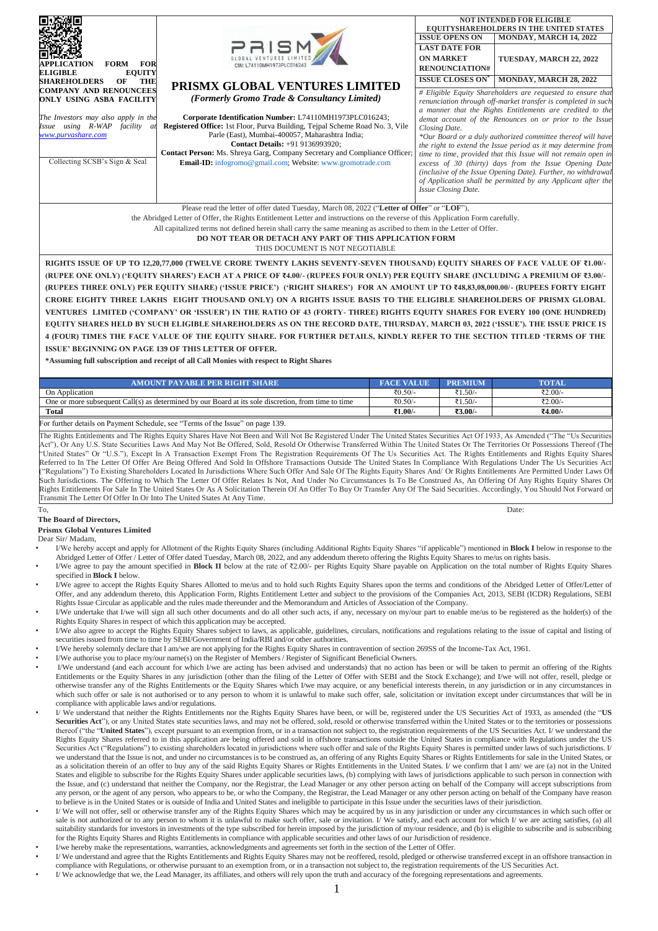| <b>FORM</b><br><b>FOR</b><br>APPLICATION<br><b>ELIGIBLE</b><br><b>EQUITY</b><br><b>SHAREHOLDERS</b><br>OF<br><b>THE</b>                                                                        | $P$ <b>RISM</b><br>CIN: 174110MH1973PLC01624<br>PRISMX GLOBAL VENTURES LIMITED                                                                                                                                                                                                                                                                                                                                                                         | <b>NOT INTENDED FOR ELIGIBLE</b><br><b>EQUITYSHAREHOLDERS IN THE UNITED STATES</b><br><b>ISSUE OPENS ON</b><br>MONDAY, MARCH 14, 2022<br><b>LAST DATE FOR</b><br><b>ON MARKET</b><br>TUESDAY, MARCH 22, 2022<br><b>RENOUNCIATION#</b><br><b>ISSUE CLOSES ON®</b><br>MONDAY, MARCH 28, 2022 |                                                                                                                                                                                                                                                                                                                                                                                                                                                                                                                                                                                                                                                   |  |  |  |  |  |
|------------------------------------------------------------------------------------------------------------------------------------------------------------------------------------------------|--------------------------------------------------------------------------------------------------------------------------------------------------------------------------------------------------------------------------------------------------------------------------------------------------------------------------------------------------------------------------------------------------------------------------------------------------------|--------------------------------------------------------------------------------------------------------------------------------------------------------------------------------------------------------------------------------------------------------------------------------------------|---------------------------------------------------------------------------------------------------------------------------------------------------------------------------------------------------------------------------------------------------------------------------------------------------------------------------------------------------------------------------------------------------------------------------------------------------------------------------------------------------------------------------------------------------------------------------------------------------------------------------------------------------|--|--|--|--|--|
| <b>COMPANY AND RENOUNCEES</b><br>ONLY USING ASBA FACILITY<br>The Investors may also apply in the<br>Issue using R-WAP<br>facility<br>at<br>www.purvashare.com<br>Collecting SCSB's Sign & Seal | (Formerly Gromo Trade & Consultancy Limited)<br>Corporate Identification Number: L74110MH1973PLC016243;<br><b>Registered Office:</b> 1st Floor, Purva Building, Teipal Scheme Road No. 3, Vile<br>Parle (East), Mumbai-400057, Maharashtra India;<br><b>Contact Details:</b> +91 9136993920;<br><b>Contact Person:</b> Ms. Shreya Garg, Company Secretary and Compliance Officer;<br><b>Email-ID:</b> infogromo@gmail.com; Website: www.gromotrade.com | Closing Date.<br>Issue Closing Date.                                                                                                                                                                                                                                                       | # Eligible Equity Shareholders are requested to ensure that<br>renunciation through off-market transfer is completed in such<br>a manner that the Rights Entitlements are credited to the<br>demat account of the Renounces on or prior to the Issue<br>*Our Board or a duly authorized committee thereof will have<br>the right to extend the Issue period as it may determine from<br>time to time, provided that this Issue will not remain open in<br>excess of 30 (thirty) days from the Issue Opening Date<br>(inclusive of the Issue Opening Date). Further, no withdrawal<br>of Application shall be permitted by any Applicant after the |  |  |  |  |  |
|                                                                                                                                                                                                | Please read the letter of offer dated Tuesday, March 08, 2022 ("Letter of Offer" or "LOF"),<br>the Abrildeed Letter of Offer the Dickte Untilement Letter and instructions on the reverse of this Anglication Usuan constructive                                                                                                                                                                                                                       |                                                                                                                                                                                                                                                                                            |                                                                                                                                                                                                                                                                                                                                                                                                                                                                                                                                                                                                                                                   |  |  |  |  |  |

the Abridged Letter of Offer, the Rights Entitlement Letter and instructions on the reverse of this Application Form carefully.

All capitalized terms not defined herein shall carry the same meaning as ascribed to them in the Letter of Offer. **DO NOT TEAR OR DETACH ANY PART OF THIS APPLICATION FORM**

THIS DOCUMENT IS NOT NEGOTIABLE

**RIGHTS ISSUE OF UP TO 12,20,77,000 (TWELVE CRORE TWENTY LAKHS SEVENTY-SEVEN THOUSAND) EQUITY SHARES OF FACE VALUE OF ₹1.00/- (RUPEE ONE ONLY) ('EQUITY SHARES') EACH AT A PRICE OF ₹4.00/- (RUPEES FOUR ONLY) PER EQUITY SHARE (INCLUDING A PREMIUM OF ₹3.00/- (RUPEES THREE ONLY) PER EQUITY SHARE) ('ISSUE PRICE') ('RIGHT SHARES') FOR AN AMOUNT UP TO ₹48,83,08,000.00/- (RUPEES FORTY EIGHT CRORE EIGHTY THREE LAKHS EIGHT THOUSAND ONLY) ON A RIGHTS ISSUE BASIS TO THE ELIGIBLE SHAREHOLDERS OF PRISMX GLOBAL VENTURES LIMITED ('COMPANY' OR 'ISSUER') IN THE RATIO OF 43 (FORTY- THREE) RIGHTS EQUITY SHARES FOR EVERY 100 (ONE HUNDRED) EQUITY SHARES HELD BY SUCH ELIGIBLE SHAREHOLDERS AS ON THE RECORD DATE, THURSDAY, MARCH 03, 2022 ('ISSUE'). THE ISSUE PRICE IS 4 (FOUR) TIMES THE FACE VALUE OF THE EQUITY SHARE. FOR FURTHER DETAILS, KINDLY REFER TO THE SECTION TITLED 'TERMS OF THE ISSUE' BEGINNING ON PAGE 139 OF THIS LETTER OF OFFER.**

**\*Assuming full subscription and receipt of all Call Monies with respect to Right Shares**

| AMOUNT PAYABLE PER RIGHT SHARE-                                                                     | <b>FACE VALUE</b> | <b>PREM</b> | <b>TOTAL</b> |
|-----------------------------------------------------------------------------------------------------|-------------------|-------------|--------------|
| On Application                                                                                      | ₹0.50/-           | $1.50/-$    | ₹2.00/-      |
| One or more subsequent Call(s) as determined by our Board at its sole discretion, from time to time | ₹0.50/-           | 1.50/-      | ₹2.00/-      |
| <b>Total</b>                                                                                        | 1.00/             | $73.00/-$   | ₹4.00/-      |
|                                                                                                     |                   |             |              |

For further details on Payment Schedule, see "Terms of the Issue" on page 139.

The Rights Entitlements and The Rights Equity Shares Have Not Been and Will Not Be Registered Under The United States Securities Act Of 1933, As Amended ("The "Us Securities Act"), Or Any U.S. State Securities Laws And May Not Be Offered, Sold, Resold Or Otherwise Transferred Within The United States Or The Territories Or Possessions Thereof (The "United States" Or "U.S."), Except In A Transaction Exempt From The Registration Requirements Of The Us Securities Act. The Rights Entitlements and Rights Equity Shares Referred to In The Letter Of Offer Are Being Offered And Sold In Offshore Transactions Outside The United States In Compliance With Regulations Under The Us Securities Act ("Regulations") To Existing Shareholders Located In Jurisdictions Where Such Offer And Sale Of The Rights Equity Shares And/ Or Rights Entitlements Are Permitted Under Laws Of Such Jurisdictions. The Offering to Which The Letter Of Offer Relates Is Not, And Under No Circumstances Is To Be Construed As, An Offering Of Any Rights Equity Shares Or Rights Entitlements For Sale In The United States Or As A Solicitation Therein Of An Offer To Buy Or Transfer Any Of The Said Securities. Accordingly, You Should Not Forward or Transmit The Letter Of Offer In Or Into The United States At Any Time.

## To, Date: **The Board of Directors,**

## **Prismx Global Ventures Limited**

Dear Sir/ Madam,

- I/We hereby accept and apply for Allotment of the Rights Equity Shares (including Additional Rights Equity Shares "if applicable") mentioned in **Block I** below in response to the Abridged Letter of Offer / Letter of Offer dated Tuesday, March 08, 2022, and any addendum thereto offering the Rights Equity Shares to me/us on rights basis.
- I/We agree to pay the amount specified in **Block II** below at the rate of ₹2.00/- per Rights Equity Share payable on Application on the total number of Rights Equity Shares specified in **Block I** below.
- I/We agree to accept the Rights Equity Shares Allotted to me/us and to hold such Rights Equity Shares upon the terms and conditions of the Abridged Letter of Offer/Letter of Offer, and any addendum thereto, this Application Form, Rights Entitlement Letter and subject to the provisions of the Companies Act, 2013, SEBI (ICDR) Regulations, SEBI Rights Issue Circular as applicable and the rules made thereunder and the Memorandum and Articles of Association of the Company.
- I/We undertake that I/we will sign all such other documents and do all other such acts, if any, necessary on my/our part to enable me/us to be registered as the holder(s) of the Rights Equity Shares in respect of which this application may be accepted.
- I/We also agree to accept the Rights Equity Shares subject to laws, as applicable, guidelines, circulars, notifications and regulations relating to the issue of capital and listing of securities issued from time to time by SEBI/Government of India/RBI and/or other authorities.
- I/We hereby solemnly declare that I am/we are not applying for the Rights Equity Shares in contravention of section 269SS of the Income-Tax Act, 1961.
- I/We authorise you to place my/our name(s) on the Register of Members / Register of Significant Beneficial Owners.
- I/We understand (and each account for which I/we are acting has been advised and understands) that no action has been or will be taken to permit an offering of the Rights Entitlements or the Equity Shares in any jurisdiction (other than the filing of the Letter of Offer with SEBI and the Stock Exchange); and I/we will not offer, resell, pledge or otherwise transfer any of the Rights Entitlements or the Equity Shares which I/we may acquire, or any beneficial interests therein, in any jurisdiction or in any circumstances in which such offer or sale is not authorised or to any person to whom it is unlawful to make such offer, sale, solicitation or invitation except under circumstances that will be in compliance with applicable laws and/or regulations.
- I/ We understand that neither the Rights Entitlements nor the Rights Equity Shares have been, or will be, registered under the US Securities Act of 1933, as amended (the "**US**  Securities Act"), or any United States state securities laws, and may not be offered, sold, resold or otherwise transferred within the United States or to the territories or possessions thereof ("the "**United States**"), except pursuant to an exemption from, or in a transaction not subject to, the registration requirements of the US Securities Act. I/ we understand the Rights Equity Shares referred to in this application are being offered and sold in offshore transactions outside the United States in compliance with Regulations under the US Securities Act ("Regulations") to existing shareholders located in jurisdictions where such offer and sale of the Rights Equity Shares is permitted under laws of such jurisdictions. I/ we understand that the Issue is not, and under no circumstances is to be construed as, an offering of any Rights Equity Shares or Rights Entitlements for sale in the United States, or as a solicitation therein of an offer to buy any of the said Rights Equity Shares or Rights Entitlements in the United States. I/ we confirm that I am/ we are (a) not in the United States and eligible to subscribe for the Rights Equity Shares under applicable securities laws, (b) complying with laws of jurisdictions applicable to such person in connection with the Issue, and (c) understand that neither the Company, nor the Registrar, the Lead Manager or any other person acting on behalf of the Company will accept subscriptions from any person, or the agent of any person, who appears to be, or who the Company, the Registrar, the Lead Manager or any other person acting on behalf of the Company have reason to believe is in the United States or is outside of India and United States and ineligible to participate in this Issue under the securities laws of their jurisdiction.
- I/ We will not offer, sell or otherwise transfer any of the Rights Equity Shares which may be acquired by us in any jurisdiction or under any circumstances in which such offer or sale is not authorized or to any person to whom it is unlawful to make such offer, sale or invitation. I/ We satisfy, and each account for which I/ we are acting satisfies, (a) all suitability standards for investors in investments of the type subscribed for herein imposed by the jurisdiction of my/our residence, and (b) is eligible to subscribe and is subscribing for the Rights Equity Shares and Rights Entitlements in compliance with applicable securities and other laws of our Jurisdiction of residence.
- I/we hereby make the representations, warranties, acknowledgments and agreements set forth in the section of the Letter of Offer.
- I/ We understand and agree that the Rights Entitlements and Rights Equity Shares may not be reoffered, resold, pledged or otherwise transferred except in an offshore transaction in compliance with Regulations, or otherwise pursuant to an exemption from, or in a transaction not subject to, the registration requirements of the US Securities Act.
- I/ We acknowledge that we, the Lead Manager, its affiliates, and others will rely upon the truth and accuracy of the foregoing representations and agreements.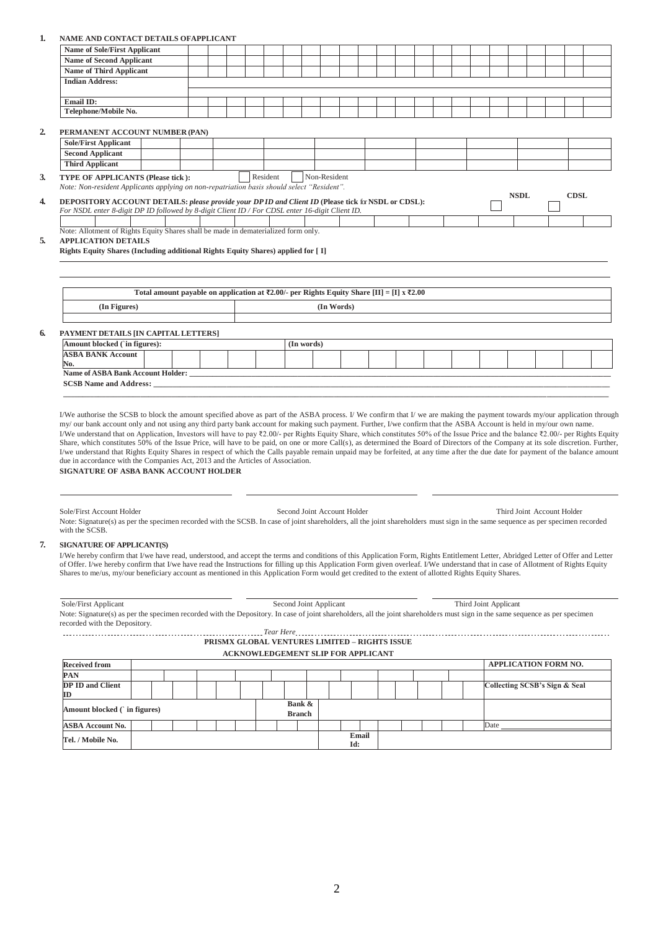## **1. NAME AND CONTACT DETAILS OFAPPLICANT**

| <b>Name of Sole/First Applicant</b><br><b>Name of Second Applicant</b><br><b>Name of Third Applicant</b><br><b>Indian Address:</b>                                                                                                                                                                                                                                                                                                                                                                                                                                                                                                                                                                                                                                                                                                                                                                                                                                                                                                                                                                                                                                                                                                                                                                                                                                                                                                                                                                                                                                                                                                                                                                                                                                                                                                                         |                                                                                           |  |  |          |        |            |                        |                             |                                                                                            |  |  |                               |                             |  |             |  |
|------------------------------------------------------------------------------------------------------------------------------------------------------------------------------------------------------------------------------------------------------------------------------------------------------------------------------------------------------------------------------------------------------------------------------------------------------------------------------------------------------------------------------------------------------------------------------------------------------------------------------------------------------------------------------------------------------------------------------------------------------------------------------------------------------------------------------------------------------------------------------------------------------------------------------------------------------------------------------------------------------------------------------------------------------------------------------------------------------------------------------------------------------------------------------------------------------------------------------------------------------------------------------------------------------------------------------------------------------------------------------------------------------------------------------------------------------------------------------------------------------------------------------------------------------------------------------------------------------------------------------------------------------------------------------------------------------------------------------------------------------------------------------------------------------------------------------------------------------------|-------------------------------------------------------------------------------------------|--|--|----------|--------|------------|------------------------|-----------------------------|--------------------------------------------------------------------------------------------|--|--|-------------------------------|-----------------------------|--|-------------|--|
|                                                                                                                                                                                                                                                                                                                                                                                                                                                                                                                                                                                                                                                                                                                                                                                                                                                                                                                                                                                                                                                                                                                                                                                                                                                                                                                                                                                                                                                                                                                                                                                                                                                                                                                                                                                                                                                            |                                                                                           |  |  |          |        |            |                        |                             |                                                                                            |  |  |                               |                             |  |             |  |
|                                                                                                                                                                                                                                                                                                                                                                                                                                                                                                                                                                                                                                                                                                                                                                                                                                                                                                                                                                                                                                                                                                                                                                                                                                                                                                                                                                                                                                                                                                                                                                                                                                                                                                                                                                                                                                                            |                                                                                           |  |  |          |        |            |                        |                             |                                                                                            |  |  |                               |                             |  |             |  |
|                                                                                                                                                                                                                                                                                                                                                                                                                                                                                                                                                                                                                                                                                                                                                                                                                                                                                                                                                                                                                                                                                                                                                                                                                                                                                                                                                                                                                                                                                                                                                                                                                                                                                                                                                                                                                                                            |                                                                                           |  |  |          |        |            |                        |                             |                                                                                            |  |  |                               |                             |  |             |  |
|                                                                                                                                                                                                                                                                                                                                                                                                                                                                                                                                                                                                                                                                                                                                                                                                                                                                                                                                                                                                                                                                                                                                                                                                                                                                                                                                                                                                                                                                                                                                                                                                                                                                                                                                                                                                                                                            |                                                                                           |  |  |          |        |            |                        |                             |                                                                                            |  |  |                               |                             |  |             |  |
| <b>Email ID:</b>                                                                                                                                                                                                                                                                                                                                                                                                                                                                                                                                                                                                                                                                                                                                                                                                                                                                                                                                                                                                                                                                                                                                                                                                                                                                                                                                                                                                                                                                                                                                                                                                                                                                                                                                                                                                                                           |                                                                                           |  |  |          |        |            |                        |                             |                                                                                            |  |  |                               |                             |  |             |  |
| Telephone/Mobile No.                                                                                                                                                                                                                                                                                                                                                                                                                                                                                                                                                                                                                                                                                                                                                                                                                                                                                                                                                                                                                                                                                                                                                                                                                                                                                                                                                                                                                                                                                                                                                                                                                                                                                                                                                                                                                                       |                                                                                           |  |  |          |        |            |                        |                             |                                                                                            |  |  |                               |                             |  |             |  |
|                                                                                                                                                                                                                                                                                                                                                                                                                                                                                                                                                                                                                                                                                                                                                                                                                                                                                                                                                                                                                                                                                                                                                                                                                                                                                                                                                                                                                                                                                                                                                                                                                                                                                                                                                                                                                                                            |                                                                                           |  |  |          |        |            |                        |                             |                                                                                            |  |  |                               |                             |  |             |  |
| PERMANENT ACCOUNT NUMBER (PAN)                                                                                                                                                                                                                                                                                                                                                                                                                                                                                                                                                                                                                                                                                                                                                                                                                                                                                                                                                                                                                                                                                                                                                                                                                                                                                                                                                                                                                                                                                                                                                                                                                                                                                                                                                                                                                             |                                                                                           |  |  |          |        |            |                        |                             |                                                                                            |  |  |                               |                             |  |             |  |
| <b>Sole/First Applicant</b>                                                                                                                                                                                                                                                                                                                                                                                                                                                                                                                                                                                                                                                                                                                                                                                                                                                                                                                                                                                                                                                                                                                                                                                                                                                                                                                                                                                                                                                                                                                                                                                                                                                                                                                                                                                                                                |                                                                                           |  |  |          |        |            |                        |                             |                                                                                            |  |  |                               |                             |  |             |  |
| <b>Second Applicant</b>                                                                                                                                                                                                                                                                                                                                                                                                                                                                                                                                                                                                                                                                                                                                                                                                                                                                                                                                                                                                                                                                                                                                                                                                                                                                                                                                                                                                                                                                                                                                                                                                                                                                                                                                                                                                                                    |                                                                                           |  |  |          |        |            |                        |                             |                                                                                            |  |  |                               |                             |  |             |  |
| <b>Third Applicant</b>                                                                                                                                                                                                                                                                                                                                                                                                                                                                                                                                                                                                                                                                                                                                                                                                                                                                                                                                                                                                                                                                                                                                                                                                                                                                                                                                                                                                                                                                                                                                                                                                                                                                                                                                                                                                                                     |                                                                                           |  |  |          |        |            |                        |                             |                                                                                            |  |  |                               |                             |  |             |  |
| TYPE OF APPLICANTS (Please tick):<br>Note: Non-resident Applicants applying on non-repatriation basis should select "Resident".                                                                                                                                                                                                                                                                                                                                                                                                                                                                                                                                                                                                                                                                                                                                                                                                                                                                                                                                                                                                                                                                                                                                                                                                                                                                                                                                                                                                                                                                                                                                                                                                                                                                                                                            |                                                                                           |  |  | Resident |        |            | Non-Resident           |                             |                                                                                            |  |  |                               |                             |  |             |  |
| DEPOSITORY ACCOUNT DETAILS: please provide your DP ID and Client ID (Please tick for NSDL or CDSL):                                                                                                                                                                                                                                                                                                                                                                                                                                                                                                                                                                                                                                                                                                                                                                                                                                                                                                                                                                                                                                                                                                                                                                                                                                                                                                                                                                                                                                                                                                                                                                                                                                                                                                                                                        |                                                                                           |  |  |          |        |            |                        |                             |                                                                                            |  |  |                               | <b>NSDL</b>                 |  | <b>CDSL</b> |  |
| For NSDL enter 8-digit DP ID followed by 8-digit Client ID / For CDSL enter 16-digit Client ID.                                                                                                                                                                                                                                                                                                                                                                                                                                                                                                                                                                                                                                                                                                                                                                                                                                                                                                                                                                                                                                                                                                                                                                                                                                                                                                                                                                                                                                                                                                                                                                                                                                                                                                                                                            |                                                                                           |  |  |          |        |            |                        |                             |                                                                                            |  |  |                               |                             |  |             |  |
| Note: Allotment of Rights Equity Shares shall be made in dematerialized form only.                                                                                                                                                                                                                                                                                                                                                                                                                                                                                                                                                                                                                                                                                                                                                                                                                                                                                                                                                                                                                                                                                                                                                                                                                                                                                                                                                                                                                                                                                                                                                                                                                                                                                                                                                                         |                                                                                           |  |  |          |        |            |                        |                             |                                                                                            |  |  |                               |                             |  |             |  |
| Rights Equity Shares (Including additional Rights Equity Shares) applied for [ I]                                                                                                                                                                                                                                                                                                                                                                                                                                                                                                                                                                                                                                                                                                                                                                                                                                                                                                                                                                                                                                                                                                                                                                                                                                                                                                                                                                                                                                                                                                                                                                                                                                                                                                                                                                          |                                                                                           |  |  |          |        |            |                        |                             |                                                                                            |  |  |                               |                             |  |             |  |
|                                                                                                                                                                                                                                                                                                                                                                                                                                                                                                                                                                                                                                                                                                                                                                                                                                                                                                                                                                                                                                                                                                                                                                                                                                                                                                                                                                                                                                                                                                                                                                                                                                                                                                                                                                                                                                                            | Total amount payable on application at ₹2.00/- per Rights Equity Share [II] = [I] x ₹2.00 |  |  |          |        |            |                        |                             |                                                                                            |  |  |                               |                             |  |             |  |
| (In Figures)                                                                                                                                                                                                                                                                                                                                                                                                                                                                                                                                                                                                                                                                                                                                                                                                                                                                                                                                                                                                                                                                                                                                                                                                                                                                                                                                                                                                                                                                                                                                                                                                                                                                                                                                                                                                                                               |                                                                                           |  |  |          |        |            | (In Words)             |                             |                                                                                            |  |  |                               |                             |  |             |  |
|                                                                                                                                                                                                                                                                                                                                                                                                                                                                                                                                                                                                                                                                                                                                                                                                                                                                                                                                                                                                                                                                                                                                                                                                                                                                                                                                                                                                                                                                                                                                                                                                                                                                                                                                                                                                                                                            |                                                                                           |  |  |          |        |            |                        |                             |                                                                                            |  |  |                               |                             |  |             |  |
| PAYMENT DETAILS [IN CAPITAL LETTERS]                                                                                                                                                                                                                                                                                                                                                                                                                                                                                                                                                                                                                                                                                                                                                                                                                                                                                                                                                                                                                                                                                                                                                                                                                                                                                                                                                                                                                                                                                                                                                                                                                                                                                                                                                                                                                       |                                                                                           |  |  |          |        |            |                        |                             |                                                                                            |  |  |                               |                             |  |             |  |
| Amount blocked ('in figures):                                                                                                                                                                                                                                                                                                                                                                                                                                                                                                                                                                                                                                                                                                                                                                                                                                                                                                                                                                                                                                                                                                                                                                                                                                                                                                                                                                                                                                                                                                                                                                                                                                                                                                                                                                                                                              |                                                                                           |  |  |          |        | (In words) |                        |                             |                                                                                            |  |  |                               |                             |  |             |  |
| <b>ASBA BANK Account</b>                                                                                                                                                                                                                                                                                                                                                                                                                                                                                                                                                                                                                                                                                                                                                                                                                                                                                                                                                                                                                                                                                                                                                                                                                                                                                                                                                                                                                                                                                                                                                                                                                                                                                                                                                                                                                                   |                                                                                           |  |  |          |        |            |                        |                             |                                                                                            |  |  |                               |                             |  |             |  |
| No.                                                                                                                                                                                                                                                                                                                                                                                                                                                                                                                                                                                                                                                                                                                                                                                                                                                                                                                                                                                                                                                                                                                                                                                                                                                                                                                                                                                                                                                                                                                                                                                                                                                                                                                                                                                                                                                        |                                                                                           |  |  |          |        |            |                        |                             |                                                                                            |  |  |                               |                             |  |             |  |
|                                                                                                                                                                                                                                                                                                                                                                                                                                                                                                                                                                                                                                                                                                                                                                                                                                                                                                                                                                                                                                                                                                                                                                                                                                                                                                                                                                                                                                                                                                                                                                                                                                                                                                                                                                                                                                                            |                                                                                           |  |  |          |        |            |                        |                             |                                                                                            |  |  |                               |                             |  |             |  |
|                                                                                                                                                                                                                                                                                                                                                                                                                                                                                                                                                                                                                                                                                                                                                                                                                                                                                                                                                                                                                                                                                                                                                                                                                                                                                                                                                                                                                                                                                                                                                                                                                                                                                                                                                                                                                                                            |                                                                                           |  |  |          |        |            |                        |                             |                                                                                            |  |  |                               |                             |  |             |  |
| I/We authorise the SCSB to block the amount specified above as part of the ASBA process. I/We confirm that I/we are making the payment towards my/our application through<br>my/ our bank account only and not using any third party bank account for making such payment. Further, I/we confirm that the ASBA Account is held in my/our own name.<br>I/We understand that on Application, Investors will have to pay ₹2.00/- per Rights Equity Share, which constitutes 50% of the Issue Price and the balance ₹2.00/- per Rights Equity<br>Share, which constitutes 50% of the Issue Price, will have to be paid, on one or more Call(s), as determined the Board of Directors of the Company at its sole discretion. Further,<br>I/we understand that Rights Equity Shares in respect of which the Calls payable remain unpaid may be forfeited, at any time after the due date for payment of the balance amount<br>due in accordance with the Companies Act, 2013 and the Articles of Association.<br>SIGNATURE OF ASBA BANK ACCOUNT HOLDER<br>Sole/First Account Holder<br>Note: Signature(s) as per the specimen recorded with the SCSB. In case of joint shareholders, all the joint shareholders must sign in the same sequence as per specimen recorded<br>with the SCSB.<br><b>SIGNATURE OF APPLICANT(S)</b><br>I/We hereby confirm that I/we have read, understood, and accept the terms and conditions of this Application Form, Rights Entitlement Letter, Abridged Letter of Offer and Letter<br>of Offer. I/we hereby confirm that I/we have read the Instructions for filling up this Application Form given overleaf. I/We understand that in case of Allotment of Rights Equity<br>Shares to me/us, my/our beneficiary account as mentioned in this Application Form would get credited to the extent of allotted Rights Equity Shares. |                                                                                           |  |  |          |        |            |                        | Second Joint Account Holder |                                                                                            |  |  |                               | Third Joint Account Holder  |  |             |  |
|                                                                                                                                                                                                                                                                                                                                                                                                                                                                                                                                                                                                                                                                                                                                                                                                                                                                                                                                                                                                                                                                                                                                                                                                                                                                                                                                                                                                                                                                                                                                                                                                                                                                                                                                                                                                                                                            |                                                                                           |  |  |          |        |            | Second Joint Applicant |                             | PRISMX GLOBAL VENTURES LIMITED - RIGHTS ISSUE<br><b>ACKNOWLEDGEMENT SLIP FOR APPLICANT</b> |  |  | Third Joint Applicant         |                             |  |             |  |
| Sole/First Applicant<br>Note: Signature(s) as per the specimen recorded with the Depository. In case of joint shareholders, all the joint shareholders must sign in the same sequence as per specimen<br>recorded with the Depository.<br><b>Received from</b>                                                                                                                                                                                                                                                                                                                                                                                                                                                                                                                                                                                                                                                                                                                                                                                                                                                                                                                                                                                                                                                                                                                                                                                                                                                                                                                                                                                                                                                                                                                                                                                             |                                                                                           |  |  |          |        |            |                        |                             |                                                                                            |  |  |                               | <b>APPLICATION FORM NO.</b> |  |             |  |
|                                                                                                                                                                                                                                                                                                                                                                                                                                                                                                                                                                                                                                                                                                                                                                                                                                                                                                                                                                                                                                                                                                                                                                                                                                                                                                                                                                                                                                                                                                                                                                                                                                                                                                                                                                                                                                                            |                                                                                           |  |  |          |        |            |                        |                             |                                                                                            |  |  | Collecting SCSB's Sign & Seal |                             |  |             |  |
|                                                                                                                                                                                                                                                                                                                                                                                                                                                                                                                                                                                                                                                                                                                                                                                                                                                                                                                                                                                                                                                                                                                                                                                                                                                                                                                                                                                                                                                                                                                                                                                                                                                                                                                                                                                                                                                            |                                                                                           |  |  |          | Bank & |            |                        |                             |                                                                                            |  |  |                               |                             |  |             |  |
| <b>PAN</b><br><b>DP ID and Client</b><br>ID<br>Amount blocked ( in figures)                                                                                                                                                                                                                                                                                                                                                                                                                                                                                                                                                                                                                                                                                                                                                                                                                                                                                                                                                                                                                                                                                                                                                                                                                                                                                                                                                                                                                                                                                                                                                                                                                                                                                                                                                                                |                                                                                           |  |  |          | Branch |            |                        |                             |                                                                                            |  |  |                               |                             |  |             |  |
| ASBA Account No.                                                                                                                                                                                                                                                                                                                                                                                                                                                                                                                                                                                                                                                                                                                                                                                                                                                                                                                                                                                                                                                                                                                                                                                                                                                                                                                                                                                                                                                                                                                                                                                                                                                                                                                                                                                                                                           |                                                                                           |  |  |          |        |            |                        | Email                       |                                                                                            |  |  | Date                          |                             |  |             |  |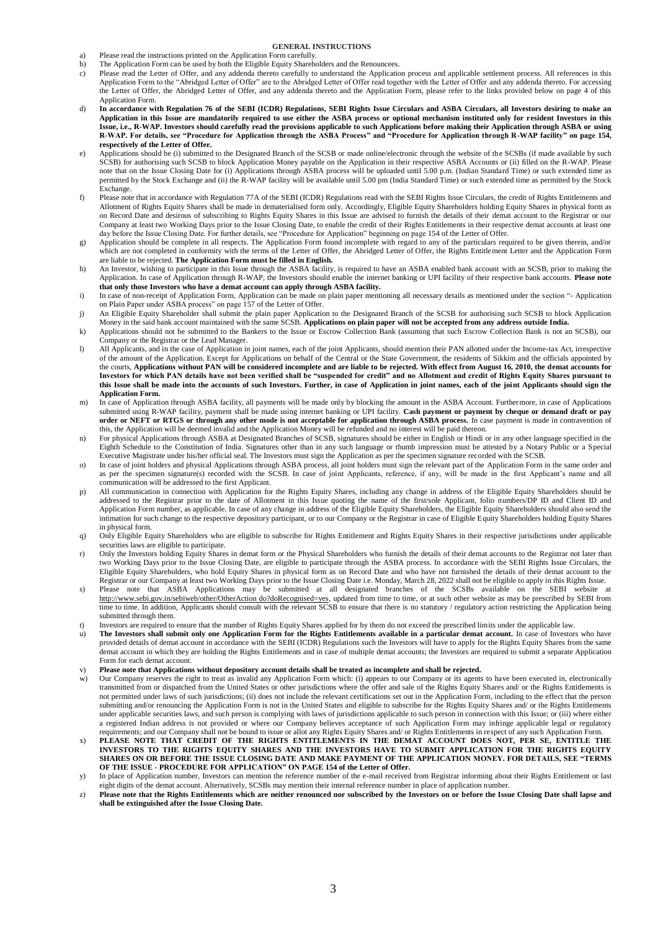## **GENERAL INSTRUCTIONS**

- a) Please read the instructions printed on the Application Form carefully.<br>b) The Application Form can be used by both the Eligible Equity Shareho
- b) The Application Form can be used by both the Eligible Equity Shareholders and the Renouncees.<br>
c) Please read the Letter of Offer, and any addenda thereto carefully to understand the Application
- Please read the Letter of Offer, and any addenda thereto carefully to understand the Application process and applicable settlement process. All references in this Application Form to the "Abridged Letter of Offer" are to the Abridged Letter of Offer read together with the Letter of Offer and any addenda thereto. For accessing the Letter of Offer, the Abridged Letter of Offer, and any addenda thereto and the Application Form, please refer to the links provided below on page 4 of this Application Form.
- d) **In accordance with Regulation 76 of the SEBI (ICDR) Regulations, SEBI Rights Issue Circulars and ASBA Circulars, all Investors desiring to make an Application in this Issue are mandatorily required to use either the ASBA process or optional mechanism instituted only for resident Investors in this Issue, i.e., R-WAP. Investors should carefully read the provisions applicable to such Applications before making their Application through ASBA or using R-WAP. For details, see "Procedure for Application through the ASBA Process" and "Procedure for Application through R-WAP facility" on page 154, respectively of the Letter of Offer.**
- e) Applications should be (i) submitted to the Designated Branch of the SCSB or made online/electronic through the website of the SCSBs (if made available by such SCSB) for authorising such SCSB to block Application Money payable on the Application in their respective ASBA Accounts or (ii) filled on the R-WAP. Please note that on the Issue Closing Date for (i) Applications through ASBA process will be uploaded until 5.00 p.m. (Indian Standard Time) or such extended time as permitted by the Stock Exchange and (ii) the R-WAP facility will be available until 5.00 pm (India Standard Time) or such extended time as permitted by the Stock Exchange.
- f) Please note that in accordance with Regulation 77A of the SEBI (ICDR) Regulations read with the SEBI Rights Issue Circulars, the credit of Rights Entitlements and Allotment of Rights Equity Shares shall be made in dematerialised form only. Accordingly, Eligible Equity Shareholders holding Equity Shares in physical form as on Record Date and desirous of subscribing to Rights Equity Shares in this Issue are advised to furnish the details of their demat account to the Registrar or our Company at least two Working Days prior to the Issue Closing Date, to enable the credit of their Rights Entitlements in their respective demat accounts at least one day before the Issue Closing Date. For further details, see "Procedure for Application" beginning on page 154 of the Letter of Offer.
- g) Application should be complete in all respects. The Application Form found incomplete with regard to any of the particulars required to be given therein, and/or which are not completed in conformity with the terms of the Letter of Offer, the Abridged Letter of Offer, the Rights Entitlement Letter and the Application Form are liable to be rejected. **The Application Form must be filled in English.**
- h) An Investor, wishing to participate in this Issue through the ASBA facility, is required to have an ASBA enabled bank account with an SCSB, prior to making the Application. In case of Application through R-WAP, the Investors should enable the internet banking or UPI facility of their respective bank accounts. **Please note that only those Investors who have a demat account can apply through ASBA facility.**
- i) In case of non-receipt of Application Form, Application can be made on plain paper mentioning all necessary details as mentioned under the section "- Application on Plain Paper under ASBA process" on page 157 of the Letter of Offer.
- j) An Eligible Equity Shareholder shall submit the plain paper Application to the Designated Branch of the SCSB for authorising such SCSB to block Application Money in the said bank account maintained with the same SCSB. **Applications on plain paper will not be accepted from any address outside India.**
- k) Applications should not be submitted to the Bankers to the Issue or Escrow Collection Bank (assuming that such Escrow Collection Bank is not an SCSB), our Company or the Registrar or the Lead Manager.
- l) All Applicants, and in the case of Application in joint names, each of the joint Applicants, should mention their PAN allotted under the Income-tax Act, irrespective of the amount of the Application. Except for Applications on behalf of the Central or the State Government, the residents of Sikkim and the officials appointed by the courts, **Applications without PAN will be considered incomplete and are liable to be rejected. With effect from August 16, 2010, the demat accounts for Investors for which PAN details have not been verified shall be "suspended for credit" and no Allotment and credit of Rights Equity Shares pursuant to this Issue shall be made into the accounts of such Investors. Further, in case of Application in joint names, each of the joint Applicants should sign the Application Form.**
- m) In case of Application through ASBA facility, all payments will be made only by blocking the amount in the ASBA Account. Furthermore, in case of Applications submitted using R-WAP facility, payment shall be made using internet banking or UPI facility. **Cash payment or payment by cheque or demand draft or pay order or NEFT or RTGS or through any other mode is not acceptable for application through ASBA process.** In case payment is made in contravention of this, the Application will be deemed invalid and the Application Money will be refunded and no interest will be paid thereon.
- n) For physical Applications through ASBA at Designated Branches of SCSB, signatures should be either in English or Hindi or in any other language specified in the Eighth Schedule to the Constitution of India. Signatures other than in any such language or thumb impression must be attested by a Notary Public or a Special Executive Magistrate under his/her official seal. The Investors must sign the Application as per the specimen signature recorded with the SCSB.
- o) In case of joint holders and physical Applications through ASBA process, all joint holders must sign the relevant part of the Application Form in the same order and as per the specimen signature(s) recorded with the SCSB. In case of joint Applicants, reference, if any, will be made in the first Applicant's name and all communication will be addressed to the first Applicant.
- p) All communication in connection with Application for the Rights Equity Shares, including any change in address of the Eligible Equity Shareholders should be addressed to the Registrar prior to the date of Allotment in this Issue quoting the name of the first/sole Applicant, folio numbers/DP ID and Client ID and Application Form number, as applicable. In case of any change in address of the Eligible Equity Shareholders, the Eligible Equity Shareholders should also send the intimation for such change to the respective depository participant, or to our Company or the Registrar in case of Eligible Equity Shareholders holding Equity Shares in physical form.
- q) Only Eligible Equity Shareholders who are eligible to subscribe for Rights Entitlement and Rights Equity Shares in their respective jurisdictions under applicable securities laws are eligible to participate.
- r) Only the Investors holding Equity Shares in demat form or the Physical Shareholders who furnish the details of their demat accounts to the Registrar not later than two Working Days prior to the Issue Closing Date, are eligible to participate through the ASBA process. In accordance with the SEBI Rights Issue Circulars, the Eligible Equity Shareholders, who hold Equity Shares in physical form as on Record Date and who have not furnished the details of their demat account to the Registrar or our Company at least two Working Days prior to the Issue Closing Date i.e. Monday, March 28, 2022 shall not be eligible to apply in this Rights Issue.
- s) Please note that ASBA Applications may be submitted at all designated branches of the SCSBs available on the SEBI website at http://www.sebi.gov.in/sebiweb/other/OtherAction do?doRecognised=yes, updated from time to time, or at such other website as may be prescribed by SEBI from time to time. In addition, Applicants should consult with the relevant SCSB to ensure that there is no statutory / regulatory action restricting the Application being submitted through them.
- t) Investors are required to ensure that the number of Rights Equity Shares applied for by them do not exceed the prescribed limits under the applicable law.
- u) **The Investors shall submit only one Application Form for the Rights Entitlements available in a particular demat account.** In case of Investors who have provided details of demat account in accordance with the SEBI (ICDR) Regulations such the Investors will have to apply for the Rights Equity Shares from the same demat account in which they are holding the Rights Entitlements and in case of multiple demat accounts; the Investors are required to submit a separate Application Form for each demat account.
- v) **Please note that Applications without depository account details shall be treated as incomplete and shall be rejected.**
- Our Company reserves the right to treat as invalid any Application Form which: (i) appears to our Company or its agents to have been executed in, electronically transmitted from or dispatched from the United States or other jurisdictions where the offer and sale of the Rights Equity Shares and/ or the Rights Entitlements is not permitted under laws of such jurisdictions; (ii) does not include the relevant certifications set out in the Application Form, including to the effect that the person submitting and/or renouncing the Application Form is not in the United States and eligible to subscribe for the Rights Equity Shares and/ or the Rights Entitlements under applicable securities laws, and such person is complying with laws of jurisdictions applicable to such person in connection with this Issue; or (iii) where either a registered Indian address is not provided or where our Company believes acceptance of such Application Form may infringe applicable legal or regulatory requirements; and our Company shall not be bound to issue or allot any Rights Equity Shares and/ or Rights Entitlements in respect of any such Application Form.
- x) **PLEASE NOTE THAT CREDIT OF THE RIGHTS ENTITLEMENTS IN THE DEMAT ACCOUNT DOES NOT, PER SE, ENTITLE THE INVESTORS TO THE RIGHTS EQUITY SHARES AND THE INVESTORS HAVE TO SUBMIT APPLICATION FOR THE RIGHTS EQUITY SHARES ON OR BEFORE THE ISSUE CLOSING DATE AND MAKE PAYMENT OF THE APPLICATION MONEY. FOR DETAILS, SEE "TERMS OF THE ISSUE - PROCEDURE FOR APPLICATION" ON PAGE 154 of the Letter of Offer.**
- y) In place of Application number, Investors can mention the reference number of the e-mail received from Registrar informing about their Rights Entitlement or last eight digits of the demat account. Alternatively, SCSBs may mention their internal reference number in place of application number.
- z) **Please note that the Rights Entitlements which are neither renounced nor subscribed by the Investors on or before the Issue Closing Date shall lapse and shall be extinguished after the Issue Closing Date.**